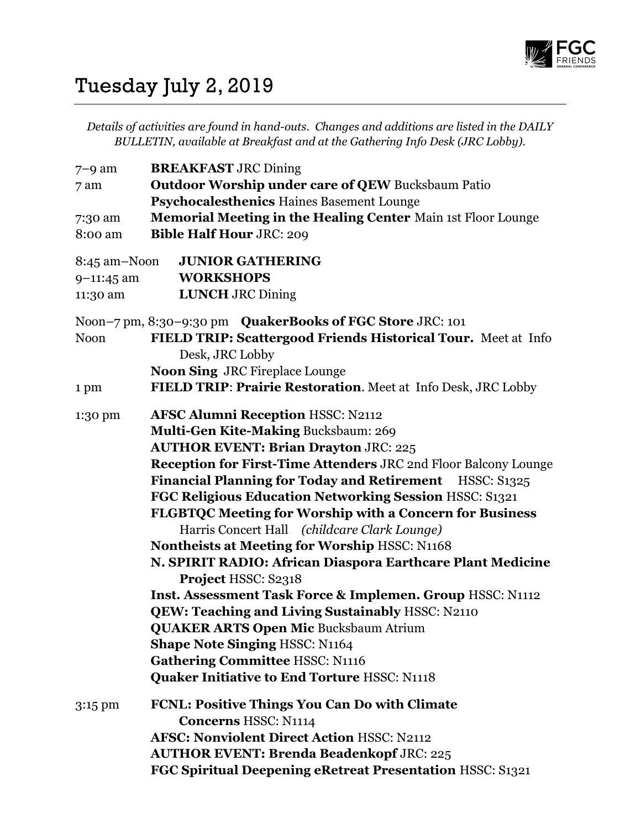

## Tuesday July 2, 2019

Details of activities are found in hand-outs. Changes and additions are listed in the DAILY BULLETIN, available at Breakfast and at the Gathering Info Desk (JRC Lobby).

| $7-9$ am     | <b>BREAKFAST JRC Dining</b>                                     |
|--------------|-----------------------------------------------------------------|
| 7 am         | <b>Outdoor Worship under care of QEW Bucksbaum Patio</b>        |
|              | Psychocalesthenics Haines Basement Lounge                       |
| 7:30 am      | Memorial Meeting in the Healing Center Main 1st Floor Lounge    |
| 8:00 am      | <b>Bible Half Hour JRC: 209</b>                                 |
|              |                                                                 |
| 8:45 am-Noon | <b>JUNIOR GATHERING</b>                                         |
| $9-11:45$ am | <b>WORKSHOPS</b>                                                |
| 11:30 am     | <b>LUNCH JRC Dining</b>                                         |
|              | Noon-7 pm, 8:30-9:30 pm QuakerBooks of FGC Store JRC: 101       |
| <b>Noon</b>  | FIELD TRIP: Scattergood Friends Historical Tour. Meet at Info   |
|              | Desk, JRC Lobby                                                 |
|              | Noon Sing JRC Fireplace Lounge                                  |
| 1 pm         | FIELD TRIP: Prairie Restoration. Meet at Info Desk, JRC Lobby   |
|              |                                                                 |
| 1:30 pm      | <b>AFSC Alumni Reception HSSC: N2112</b>                        |
|              | Multi-Gen Kite-Making Bucksbaum: 269                            |
|              | <b>AUTHOR EVENT: Brian Drayton JRC: 225</b>                     |
|              | Reception for First-Time Attenders JRC 2nd Floor Balcony Lounge |
|              | Financial Planning for Today and Retirement HSSC: S1325         |
|              | FGC Religious Education Networking Session HSSC: S1321          |
|              | <b>FLGBTQC Meeting for Worship with a Concern for Business</b>  |
|              | Harris Concert Hall (childcare Clark Lounge)                    |
|              | <b>Nontheists at Meeting for Worship HSSC: N1168</b>            |
|              | N. SPIRIT RADIO: African Diaspora Earthcare Plant Medicine      |
|              | Project HSSC: S2318                                             |
|              | Inst. Assessment Task Force & Implemen. Group HSSC: N1112       |
|              | QEW: Teaching and Living Sustainably HSSC: N2110                |
|              | <b>QUAKER ARTS Open Mic Bucksbaum Atrium</b>                    |
|              | <b>Shape Note Singing HSSC: N1164</b>                           |
|              | <b>Gathering Committee HSSC: N1116</b>                          |
|              | <b>Quaker Initiative to End Torture HSSC: N1118</b>             |
| $3:15$ pm    | FCNL: Positive Things You Can Do with Climate                   |
|              | <b>Concerns HSSC: N1114</b>                                     |
|              | <b>AFSC: Nonviolent Direct Action HSSC: N2112</b>               |
|              | <b>AUTHOR EVENT: Brenda Beadenkopf JRC: 225</b>                 |
|              | FGC Spiritual Deepening eRetreat Presentation HSSC: S1321       |